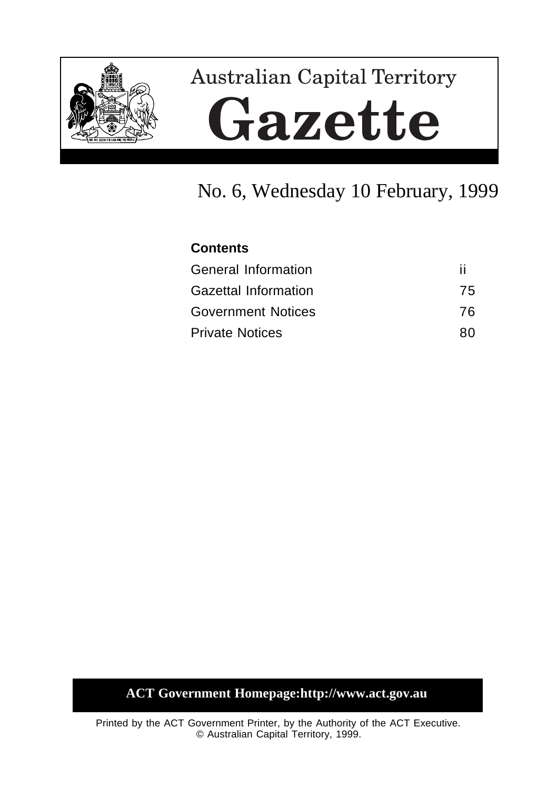

# **Australian Capital Territory** Gazette

# No. 6, Wednesday 10 February, 1999

## **Contents**

| <b>General Information</b>  |    |
|-----------------------------|----|
| <b>Gazettal Information</b> | 75 |
| <b>Government Notices</b>   | 76 |
| <b>Private Notices</b>      | 80 |

# **ACT Government Homepage:http://www.act.gov.au**

Printed by the ACT Government Printer, by the Authority of the ACT Executive. © Australian Capital Territory, 1999.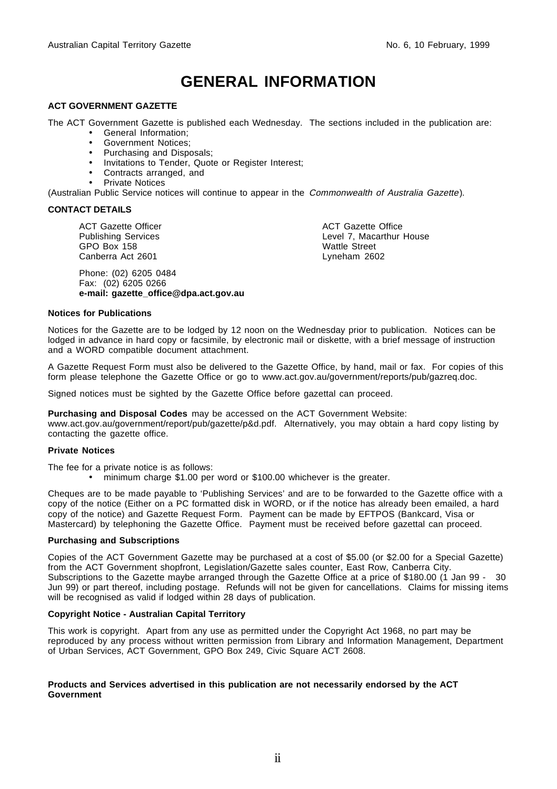# **GENERAL INFORMATION**

#### **ACT GOVERNMENT GAZETTE**

The ACT Government Gazette is published each Wednesday. The sections included in the publication are:

- General Information;
- Government Notices;
- Purchasing and Disposals;
- Invitations to Tender, Quote or Register Interest;
- Contracts arranged, and
- Private Notices

(Australian Public Service notices will continue to appear in the Commonwealth of Australia Gazette).

#### **CONTACT DETAILS**

ACT Gazette Officer Publishing Services GPO Box 158 Canberra Act 2601

Phone: (02) 6205 0484 Fax: (02) 6205 0266 **e-mail: gazette\_office@dpa.act.gov.au** ACT Gazette Office Level 7, Macarthur House Wattle Street Lyneham 2602

#### **Notices for Publications**

Notices for the Gazette are to be lodged by 12 noon on the Wednesday prior to publication. Notices can be lodged in advance in hard copy or facsimile, by electronic mail or diskette, with a brief message of instruction and a WORD compatible document attachment.

A Gazette Request Form must also be delivered to the Gazette Office, by hand, mail or fax. For copies of this form please telephone the Gazette Office or go to www.act.gov.au/government/reports/pub/gazreq.doc.

Signed notices must be sighted by the Gazette Office before gazettal can proceed.

**Purchasing and Disposal Codes** may be accessed on the ACT Government Website:

www.act.gov.au/government/report/pub/gazette/p&d.pdf. Alternatively, you may obtain a hard copy listing by contacting the gazette office.

#### **Private Notices**

The fee for a private notice is as follows:

• minimum charge \$1.00 per word or \$100.00 whichever is the greater.

Cheques are to be made payable to 'Publishing Services' and are to be forwarded to the Gazette office with a copy of the notice (Either on a PC formatted disk in WORD, or if the notice has already been emailed, a hard copy of the notice) and Gazette Request Form. Payment can be made by EFTPOS (Bankcard, Visa or Mastercard) by telephoning the Gazette Office. Payment must be received before gazettal can proceed.

#### **Purchasing and Subscriptions**

Copies of the ACT Government Gazette may be purchased at a cost of \$5.00 (or \$2.00 for a Special Gazette) from the ACT Government shopfront, Legislation/Gazette sales counter, East Row, Canberra City. Subscriptions to the Gazette maybe arranged through the Gazette Office at a price of \$180.00 (1 Jan 99 - 30 Jun 99) or part thereof, including postage. Refunds will not be given for cancellations. Claims for missing items will be recognised as valid if lodged within 28 days of publication.

#### **Copyright Notice - Australian Capital Territory**

This work is copyright. Apart from any use as permitted under the Copyright Act 1968, no part may be reproduced by any process without written permission from Library and Information Management, Department of Urban Services, ACT Government, GPO Box 249, Civic Square ACT 2608.

#### **Products and Services advertised in this publication are not necessarily endorsed by the ACT Government**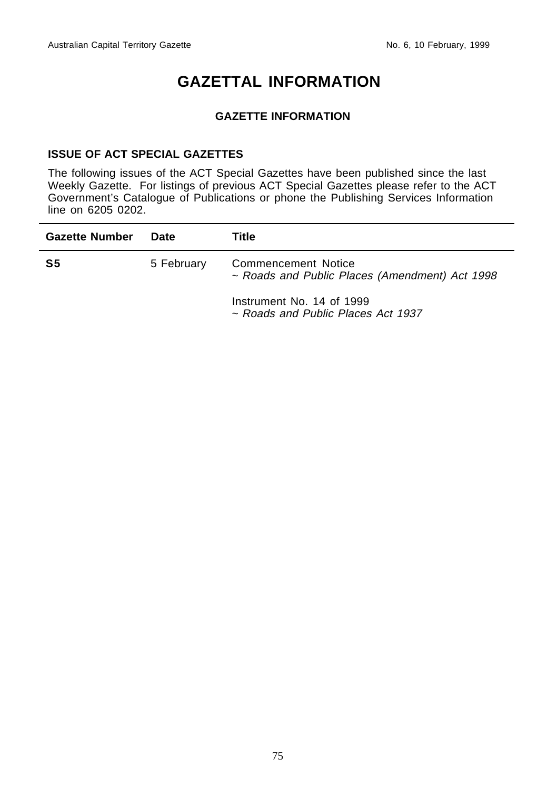# **GAZETTAL INFORMATION**

#### **GAZETTE INFORMATION**

#### **ISSUE OF ACT SPECIAL GAZETTES**

The following issues of the ACT Special Gazettes have been published since the last Weekly Gazette. For listings of previous ACT Special Gazettes please refer to the ACT Government's Catalogue of Publications or phone the Publishing Services Information line on 6205 0202.

| <b>Gazette Number</b> | Date       | Title                                                                 |
|-----------------------|------------|-----------------------------------------------------------------------|
| S5                    | 5 February | Commencement Notice<br>~ Roads and Public Places (Amendment) Act 1998 |
|                       |            | Instrument No. 14 of 1999<br>~ Roads and Public Places Act 1937       |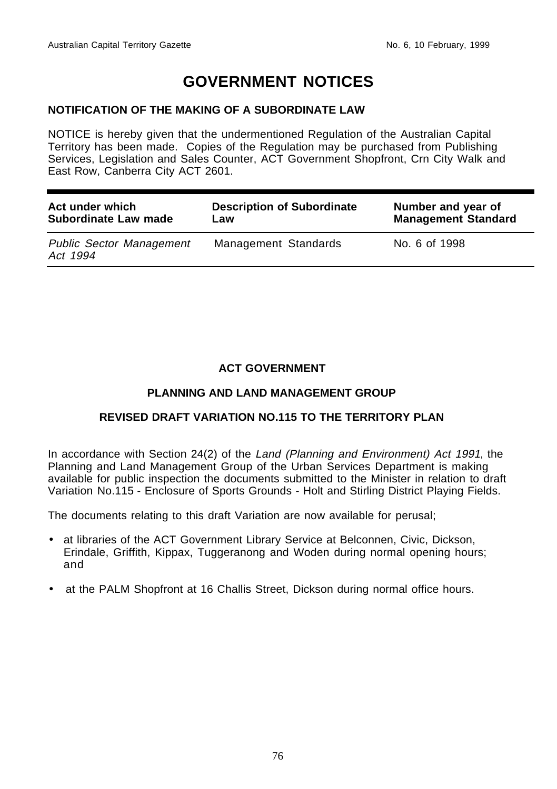# **GOVERNMENT NOTICES**

#### **NOTIFICATION OF THE MAKING OF A SUBORDINATE LAW**

NOTICE is hereby given that the undermentioned Regulation of the Australian Capital Territory has been made. Copies of the Regulation may be purchased from Publishing Services, Legislation and Sales Counter, ACT Government Shopfront, Crn City Walk and East Row, Canberra City ACT 2601.

| Act under which                             | <b>Description of Subordinate</b> | Number and year of         |
|---------------------------------------------|-----------------------------------|----------------------------|
| Subordinate Law made                        | Law                               | <b>Management Standard</b> |
| <b>Public Sector Management</b><br>Act 1994 | Management Standards              | No. 6 of 1998              |

### **ACT GOVERNMENT**

#### **PLANNING AND LAND MANAGEMENT GROUP**

#### **REVISED DRAFT VARIATION NO.115 TO THE TERRITORY PLAN**

In accordance with Section 24(2) of the Land (Planning and Environment) Act 1991, the Planning and Land Management Group of the Urban Services Department is making available for public inspection the documents submitted to the Minister in relation to draft Variation No.115 - Enclosure of Sports Grounds - Holt and Stirling District Playing Fields.

The documents relating to this draft Variation are now available for perusal;

- at libraries of the ACT Government Library Service at Belconnen, Civic, Dickson, Erindale, Griffith, Kippax, Tuggeranong and Woden during normal opening hours; and
- at the PALM Shopfront at 16 Challis Street, Dickson during normal office hours.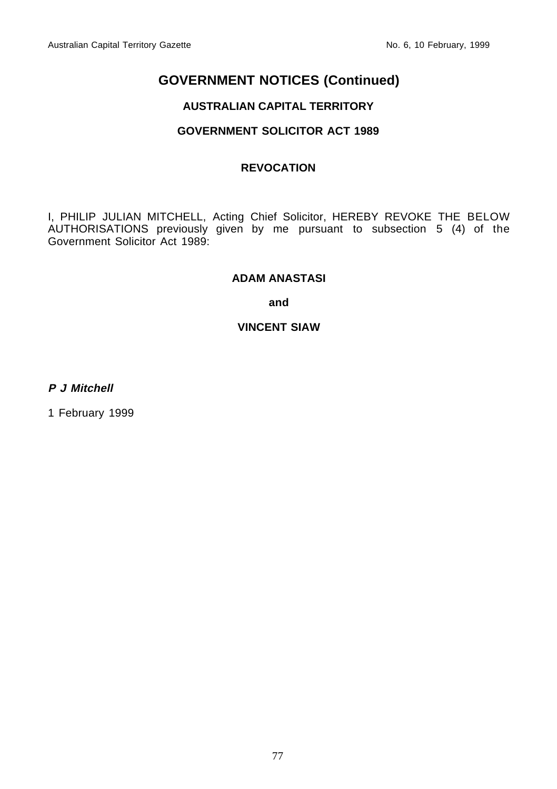## **GOVERNMENT NOTICES (Continued)**

### **AUSTRALIAN CAPITAL TERRITORY**

#### **GOVERNMENT SOLICITOR ACT 1989**

#### **REVOCATION**

I, PHILIP JULIAN MITCHELL, Acting Chief Solicitor, HEREBY REVOKE THE BELOW AUTHORISATIONS previously given by me pursuant to subsection 5 (4) of the Government Solicitor Act 1989:

#### **ADAM ANASTASI**

**and**

#### **VINCENT SIAW**

**P J Mitchell**

1 February 1999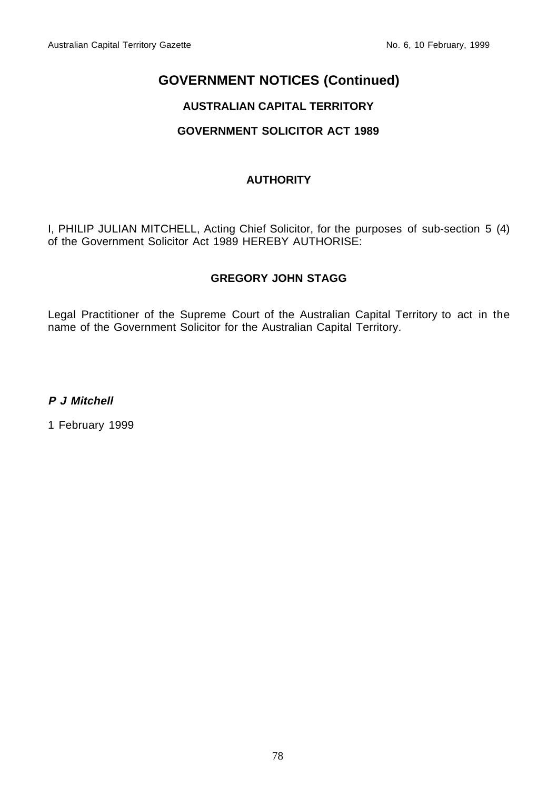## **GOVERNMENT NOTICES (Continued)**

## **AUSTRALIAN CAPITAL TERRITORY**

## **GOVERNMENT SOLICITOR ACT 1989**

### **AUTHORITY**

I, PHILIP JULIAN MITCHELL, Acting Chief Solicitor, for the purposes of sub-section 5 (4) of the Government Solicitor Act 1989 HEREBY AUTHORISE:

### **GREGORY JOHN STAGG**

Legal Practitioner of the Supreme Court of the Australian Capital Territory to act in the name of the Government Solicitor for the Australian Capital Territory.

**P J Mitchell**

1 February 1999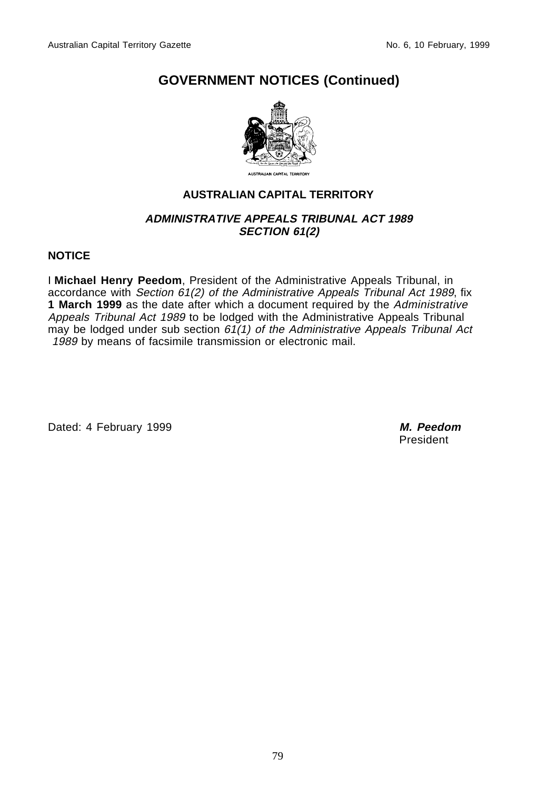## **GOVERNMENT NOTICES (Continued)**



## **AUSTRALIAN CAPITAL TERRITORY**

#### **ADMINISTRATIVE APPEALS TRIBUNAL ACT 1989 SECTION 61(2)**

#### **NOTICE**

I **Michael Henry Peedom**, President of the Administrative Appeals Tribunal, in accordance with Section 61(2) of the Administrative Appeals Tribunal Act 1989, fix **1 March 1999** as the date after which a document required by the Administrative Appeals Tribunal Act 1989 to be lodged with the Administrative Appeals Tribunal may be lodged under sub section  $61(1)$  of the Administrative Appeals Tribunal Act 1989 by means of facsimile transmission or electronic mail.

Dated: 4 February 1999 **M. Peedom**

President